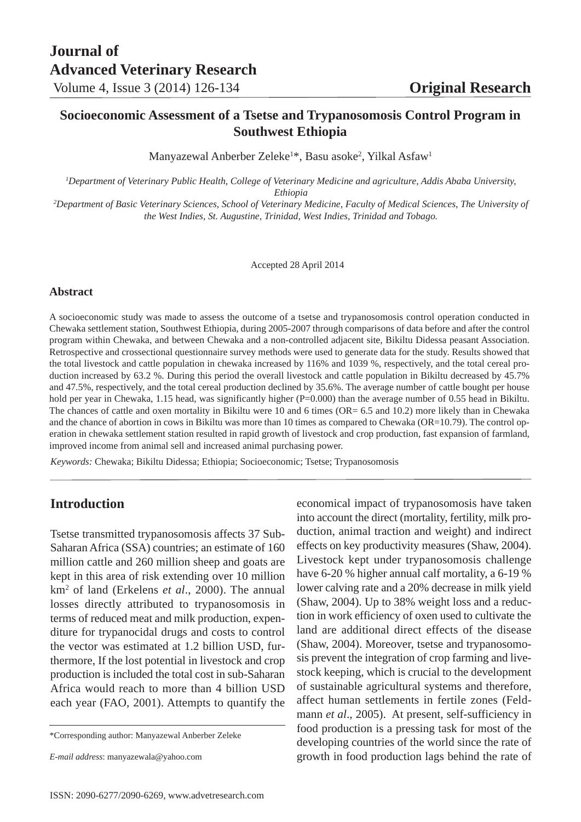## **Socioeconomic Assessment of a Tsetse and Trypanosomosis Control Program in Southwest Ethiopia**

Manyazewal Anberber Zeleke<sup>1\*</sup>, Basu asoke<sup>2</sup>, Yilkal Asfaw<sup>1</sup>

*1 Department of Veterinary Public Health, College of Veterinary Medicine and agriculture, Addis Ababa University, Ethiopia*

*2 Department of Basic Veterinary Sciences, School of Veterinary Medicine, Faculty of Medical Sciences, The University of the West Indies, St. Augustine, Trinidad, West Indies, Trinidad and Tobago.*

Accepted 28 April 2014

#### **Abstract**

A socioeconomic study was made to assess the outcome of a tsetse and trypanosomosis control operation conducted in Chewaka settlement station, Southwest Ethiopia, during 2005-2007 through comparisons of data before and after the control program within Chewaka, and between Chewaka and a non-controlled adjacent site, Bikiltu Didessa peasant Association. Retrospective and crossectional questionnaire survey methods were used to generate data for the study. Results showed that the total livestock and cattle population in chewaka increased by 116% and 1039 %, respectively, and the total cereal production increased by 63.2 %. During this period the overall livestock and cattle population in Bikiltu decreased by 45.7% and 47.5%, respectively, and the total cereal production declined by 35.6%. The average number of cattle bought per house hold per year in Chewaka, 1.15 head, was significantly higher (P=0.000) than the average number of 0.55 head in Bikiltu. The chances of cattle and oxen mortality in Bikiltu were 10 and 6 times (OR= 6.5 and 10.2) more likely than in Chewaka and the chance of abortion in cows in Bikiltu was more than 10 times as compared to Chewaka (OR=10.79). The control operation in chewaka settlement station resulted in rapid growth of livestock and crop production, fast expansion of farmland, improved income from animal sell and increased animal purchasing power.

*Keywords:* Chewaka; Bikiltu Didessa; Ethiopia; Socioeconomic; Tsetse; Trypanosomosis

## **Introduction**

Tsetse transmitted trypanosomosis affects 37 Sub-Saharan Africa (SSA) countries; an estimate of 160 million cattle and 260 million sheep and goats are kept in this area of risk extending over 10 million km2 of land (Erkelens *et al*., 2000). The annual losses directly attributed to trypanosomosis in terms of reduced meat and milk production, expenditure for trypanocidal drugs and costs to control the vector was estimated at 1.2 billion USD, furthermore, If the lost potential in livestock and crop production is included the total cost in sub-Saharan Africa would reach to more than 4 billion USD each year (FAO, 2001). Attempts to quantify the economical impact of trypanosomosis have taken into account the direct (mortality, fertility, milk production, animal traction and weight) and indirect effects on key productivity measures (Shaw, 2004). Livestock kept under trypanosomosis challenge have 6-20 % higher annual calf mortality, a 6-19 % lower calving rate and a 20% decrease in milk yield (Shaw, 2004). Up to 38% weight loss and a reduction in work efficiency of oxen used to cultivate the land are additional direct effects of the disease (Shaw, 2004). Moreover, tsetse and trypanosomosis prevent the integration of crop farming and livestock keeping, which is crucial to the development of sustainable agricultural systems and therefore, affect human settlements in fertile zones (Feldmann *et al.*, 2005). At present, self-sufficiency in food production is a pressing task for most of the developing countries of the world since the rate of growth in food production lags behind the rate of

<sup>\*</sup>Corresponding author: Manyazewal Anberber Zeleke

*E-mail address*: manyazewala@yahoo.com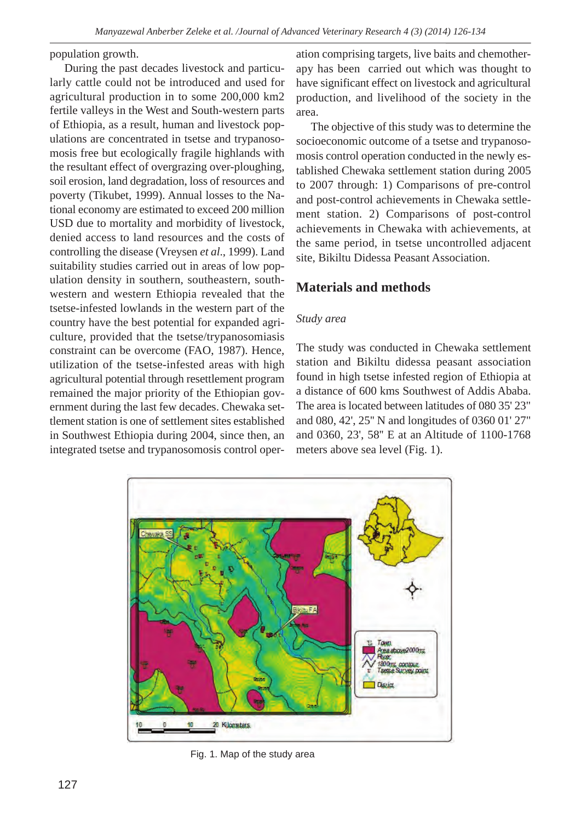population growth.

During the past decades livestock and particularly cattle could not be introduced and used for agricultural production in to some 200,000 km2 fertile valleys in the West and South-western parts of Ethiopia, as a result, human and livestock populations are concentrated in tsetse and trypanosomosis free but ecologically fragile highlands with the resultant effect of overgrazing over-ploughing, soil erosion, land degradation, loss of resources and poverty (Tikubet, 1999). Annual losses to the National economy are estimated to exceed 200 million USD due to mortality and morbidity of livestock, denied access to land resources and the costs of controlling the disease (Vreysen *et al*., 1999). Land suitability studies carried out in areas of low population density in southern, southeastern, southwestern and western Ethiopia revealed that the tsetse-infested lowlands in the western part of the country have the best potential for expanded agriculture, provided that the tsetse/trypanosomiasis constraint can be overcome (FAO, 1987). Hence, utilization of the tsetse-infested areas with high agricultural potential through resettlement program remained the major priority of the Ethiopian government during the last few decades. Chewaka settlement station is one of settlement sites established in Southwest Ethiopia during 2004, since then, an integrated tsetse and trypanosomosis control oper-

ation comprising targets, live baits and chemotherapy has been carried out which was thought to have significant effect on livestock and agricultural production, and livelihood of the society in the area.

The objective of this study was to determine the socioeconomic outcome of a tsetse and trypanosomosis control operation conducted in the newly established Chewaka settlement station during 2005 to 2007 through: 1) Comparisons of pre-control and post-control achievements in Chewaka settlement station. 2) Comparisons of post-control achievements in Chewaka with achievements, at the same period, in tsetse uncontrolled adjacent site, Bikiltu Didessa Peasant Association.

## **Materials and methods**

### *Study area*

The study was conducted in Chewaka settlement station and Bikiltu didessa peasant association found in high tsetse infested region of Ethiopia at a distance of 600 kms Southwest of Addis Ababa. The area is located between latitudes of 080 35' 23" and 080, 42', 25'' N and longitudes of 0360 01' 27" and 0360, 23', 58'' E at an Altitude of 1100-1768 meters above sea level (Fig. 1).



Fig. 1. Map of the study area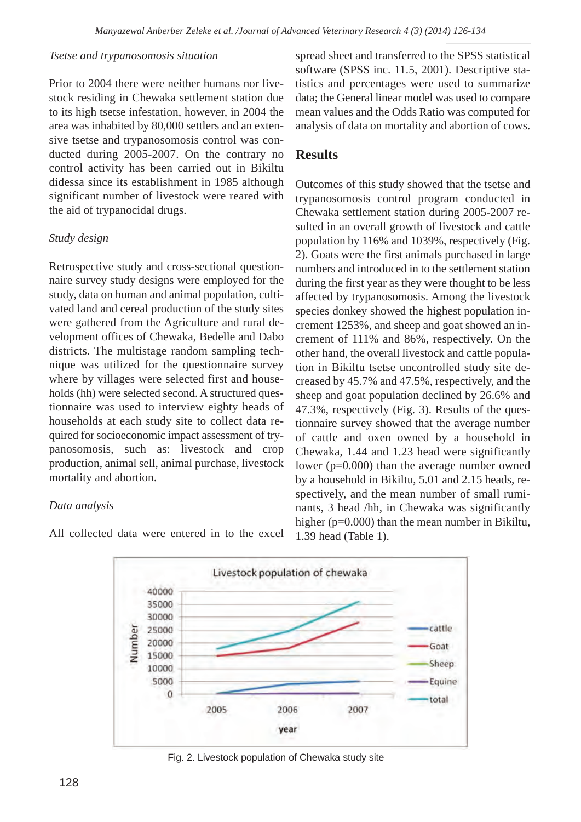### *Tsetse and trypanosomosis situation*

Prior to 2004 there were neither humans nor livestock residing in Chewaka settlement station due to its high tsetse infestation, however, in 2004 the area was inhabited by 80,000 settlers and an extensive tsetse and trypanosomosis control was conducted during 2005-2007. On the contrary no control activity has been carried out in Bikiltu didessa since its establishment in 1985 although significant number of livestock were reared with the aid of trypanocidal drugs.

## *Study design*

Retrospective study and cross-sectional questionnaire survey study designs were employed for the study, data on human and animal population, cultivated land and cereal production of the study sites were gathered from the Agriculture and rural development offices of Chewaka, Bedelle and Dabo districts. The multistage random sampling technique was utilized for the questionnaire survey where by villages were selected first and households (hh) were selected second. A structured questionnaire was used to interview eighty heads of households at each study site to collect data required for socioeconomic impact assessment of trypanosomosis, such as: livestock and crop production, animal sell, animal purchase, livestock mortality and abortion.

## *Data analysis*

All collected data were entered in to the excel

spread sheet and transferred to the SPSS statistical software (SPSS inc. 11.5, 2001). Descriptive statistics and percentages were used to summarize data; the General linear model was used to compare mean values and the Odds Ratio was computed for analysis of data on mortality and abortion of cows.

# **Results**

Outcomes of this study showed that the tsetse and trypanosomosis control program conducted in Chewaka settlement station during 2005-2007 resulted in an overall growth of livestock and cattle population by 116% and 1039%, respectively (Fig. 2). Goats were the first animals purchased in large numbers and introduced in to the settlement station during the first year as they were thought to be less affected by trypanosomosis. Among the livestock species donkey showed the highest population increment 1253%, and sheep and goat showed an increment of 111% and 86%, respectively. On the other hand, the overall livestock and cattle population in Bikiltu tsetse uncontrolled study site decreased by 45.7% and 47.5%, respectively, and the sheep and goat population declined by 26.6% and 47.3%, respectively (Fig. 3). Results of the questionnaire survey showed that the average number of cattle and oxen owned by a household in Chewaka, 1.44 and 1.23 head were significantly lower (p=0.000) than the average number owned by a household in Bikiltu, 5.01 and 2.15 heads, respectively, and the mean number of small ruminants, 3 head /hh, in Chewaka was significantly higher (p=0.000) than the mean number in Bikiltu, 1.39 head (Table 1).



Fig. 2. Livestock population of Chewaka study site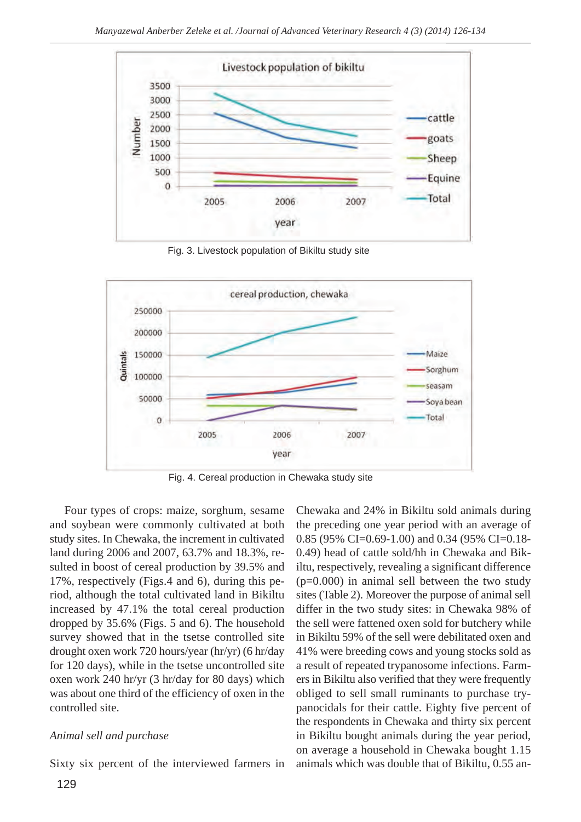

Fig. 3. Livestock population of Bikiltu study site



Fig. 4. Cereal production in Chewaka study site

Four types of crops: maize, sorghum, sesame and soybean were commonly cultivated at both study sites. In Chewaka, the increment in cultivated land during 2006 and 2007, 63.7% and 18.3%, resulted in boost of cereal production by 39.5% and 17%, respectively (Figs.4 and 6), during this period, although the total cultivated land in Bikiltu increased by 47.1% the total cereal production dropped by 35.6% (Figs. 5 and 6). The household survey showed that in the tsetse controlled site drought oxen work 720 hours/year (hr/yr) (6 hr/day for 120 days), while in the tsetse uncontrolled site oxen work 240 hr/yr (3 hr/day for 80 days) which was about one third of the efficiency of oxen in the controlled site.

### *Animal sell and purchase*

Sixty six percent of the interviewed farmers in

Chewaka and 24% in Bikiltu sold animals during the preceding one year period with an average of 0.85 (95% CI=0.69-1.00) and 0.34 (95% CI=0.18- 0.49) head of cattle sold/hh in Chewaka and Bikiltu, respectively, revealing a significant difference (p=0.000) in animal sell between the two study sites (Table 2). Moreover the purpose of animal sell differ in the two study sites: in Chewaka 98% of the sell were fattened oxen sold for butchery while in Bikiltu 59% of the sell were debilitated oxen and 41% were breeding cows and young stocks sold as a result of repeated trypanosome infections. Farmers in Bikiltu also verified that they were frequently obliged to sell small ruminants to purchase trypanocidals for their cattle. Eighty five percent of the respondents in Chewaka and thirty six percent in Bikiltu bought animals during the year period, on average a household in Chewaka bought 1.15 animals which was double that of Bikiltu, 0.55 an-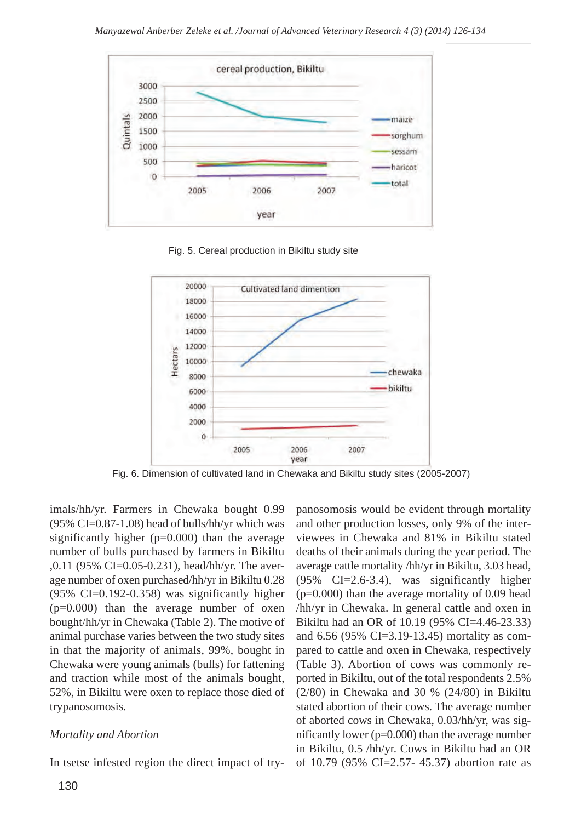

Fig. 5. Cereal production in Bikiltu study site



Fig. 6. Dimension of cultivated land in Chewaka and Bikiltu study sites (2005-2007)

imals/hh/yr. Farmers in Chewaka bought 0.99 (95% CI=0.87-1.08) head of bulls/hh/yr which was significantly higher  $(p=0.000)$  than the average number of bulls purchased by farmers in Bikiltu ,0.11 (95% CI=0.05-0.231), head/hh/yr. The average number of oxen purchased/hh/yr in Bikiltu 0.28  $(95\% \text{ CI} = 0.192 - 0.358)$  was significantly higher  $(p=0.000)$  than the average number of oxen bought/hh/yr in Chewaka (Table 2). The motive of animal purchase varies between the two study sites in that the majority of animals, 99%, bought in Chewaka were young animals (bulls) for fattening and traction while most of the animals bought, 52%, in Bikiltu were oxen to replace those died of trypanosomosis.

### *Mortality and Abortion*

In tsetse infested region the direct impact of try-

panosomosis would be evident through mortality and other production losses, only 9% of the interviewees in Chewaka and 81% in Bikiltu stated deaths of their animals during the year period. The average cattle mortality /hh/yr in Bikiltu, 3.03 head, (95% CI=2.6-3.4), was significantly higher  $(p=0.000)$  than the average mortality of 0.09 head /hh/yr in Chewaka. In general cattle and oxen in Bikiltu had an OR of 10.19 (95% CI=4.46-23.33) and 6.56 (95% CI=3.19-13.45) mortality as compared to cattle and oxen in Chewaka, respectively (Table 3). Abortion of cows was commonly reported in Bikiltu, out of the total respondents 2.5% (2/80) in Chewaka and 30 % (24/80) in Bikiltu stated abortion of their cows. The average number of aborted cows in Chewaka, 0.03/hh/yr, was significantly lower (p=0.000) than the average number in Bikiltu, 0.5 /hh/yr. Cows in Bikiltu had an OR of 10.79 (95% CI=2.57- 45.37) abortion rate as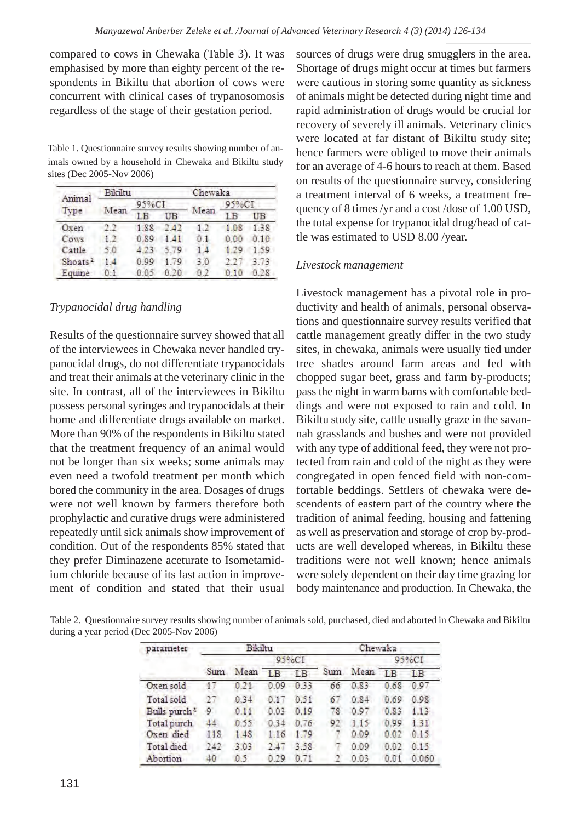compared to cows in Chewaka (Table 3). It was emphasised by more than eighty percent of the respondents in Bikiltu that abortion of cows were concurrent with clinical cases of trypanosomosis regardless of the stage of their gestation period.

Table 1. Questionnaire survey results showing number of animals owned by a household in Chewaka and Bikiltu study sites (Dec 2005-Nov 2006)

| Animal              | Bikiltu |       |      | Chewaka |                               |      |  |
|---------------------|---------|-------|------|---------|-------------------------------|------|--|
|                     |         | 95%CI |      |         | $95\degree$ <sub>o</sub> $CI$ |      |  |
| Type                | Mean    | LB    | UB   | Mean    | ΙB                            | UB   |  |
| Oxen                | 6.7     | 1.88  | 2.42 | 1.2     | 1.08                          | 1.38 |  |
| Cows                | 12      | 0.89  | - 41 | 01      | 0.00                          | 0.10 |  |
| Cattle              | 5.0     | 4.23  | 5.79 | 14      | 1.29                          | 1.59 |  |
| Shoats <sup>1</sup> | 14      | 0.99  | 179  | 3.0     |                               | 3.73 |  |
| Equine              |         | 0.05  |      | 0.2     |                               | 0.28 |  |

### *Trypanocidal drug handling*

Results of the questionnaire survey showed that all of the interviewees in Chewaka never handled trypanocidal drugs, do not differentiate trypanocidals and treat their animals at the veterinary clinic in the site. In contrast, all of the interviewees in Bikiltu possess personal syringes and trypanocidals at their home and differentiate drugs available on market. More than 90% of the respondents in Bikiltu stated that the treatment frequency of an animal would not be longer than six weeks; some animals may even need a twofold treatment per month which bored the community in the area. Dosages of drugs were not well known by farmers therefore both prophylactic and curative drugs were administered repeatedly until sick animals show improvement of condition. Out of the respondents 85% stated that they prefer Diminazene aceturate to Isometamidium chloride because of its fast action in improvement of condition and stated that their usual

sources of drugs were drug smugglers in the area. Shortage of drugs might occur at times but farmers were cautious in storing some quantity as sickness of animals might be detected during night time and rapid administration of drugs would be crucial for recovery of severely ill animals. Veterinary clinics were located at far distant of Bikiltu study site; hence farmers were obliged to move their animals for an average of 4-6 hours to reach at them. Based on results of the questionnaire survey, considering a treatment interval of 6 weeks, a treatment frequency of 8 times /yr and a cost /dose of 1.00 USD, the total expense for trypanocidal drug/head of cattle was estimated to USD 8.00 /year.

### *Livestock management*

Livestock management has a pivotal role in productivity and health of animals, personal observations and questionnaire survey results verified that cattle management greatly differ in the two study sites, in chewaka, animals were usually tied under tree shades around farm areas and fed with chopped sugar beet, grass and farm by-products; pass the night in warm barns with comfortable beddings and were not exposed to rain and cold. In Bikiltu study site, cattle usually graze in the savannah grasslands and bushes and were not provided with any type of additional feed, they were not protected from rain and cold of the night as they were congregated in open fenced field with non-comfortable beddings. Settlers of chewaka were descendents of eastern part of the country where the tradition of animal feeding, housing and fattening as well as preservation and storage of crop by-products are well developed whereas, in Bikiltu these traditions were not well known; hence animals were solely dependent on their day time grazing for body maintenance and production. In Chewaka, the

Table 2. Questionnaire survey results showing number of animals sold, purchased, died and aborted in Chewaka and Bikiltu during a year period (Dec 2005-Nov 2006)

| parameter                | Bikiltu |      |                    |                | Chewaka |      |                 |           |
|--------------------------|---------|------|--------------------|----------------|---------|------|-----------------|-----------|
|                          |         |      | $95\degree$ c $CI$ |                |         |      | 95%CI           |           |
|                          | Sum     | Mean | <b>IB</b>          | L <sub>B</sub> | Sum     | Mean | $\overline{AB}$ | <b>IB</b> |
| Oxen sold                | 17      | 0.21 | 0.09               | 0.33           | 66      | 0.83 | 0.68            | 0.97      |
| Total sold               | 27      | 0.34 | 0.17               | 0.51           | 67      | 0.84 | 0.69            | 0.98      |
| Bulls purch <sup>3</sup> | 9       | 0.11 | 0.03               | 0.19           | 78      | 0.97 | 0.83            | 1.13      |
| Total purch              | 44      | 0.55 | 0.34               | 0.76           | 92      | 115  | 0.99            | 1.31      |
| Oxen died                | 118     | 1.48 | 1.16               | 1.79           |         | 0.09 | 0.02            | 0.15      |
| Total died               | 242     | 3.03 | 2.47               | 3.58           |         | 0.09 | 0.02            | 0.15      |
| Abortion                 | 40      | 0.5  | 0.29               | 0.71           |         | 0.03 | 0.01            | 0.060     |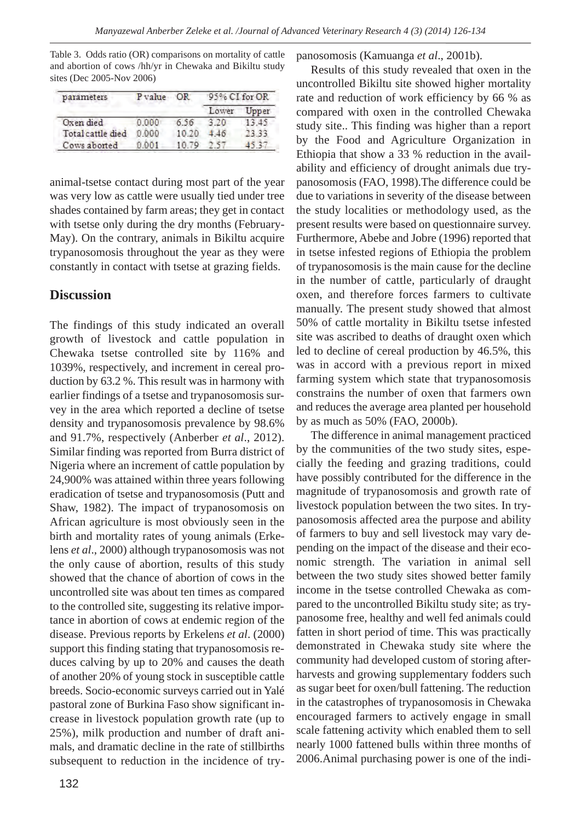Table 3. Odds ratio (OR) comparisons on mortality of cattle and abortion of cows /hh/yr in Chewaka and Bikiltu study sites (Dec 2005-Nov 2006)

| parameters        | P value | OR    | 95% CI for OR |       |  |
|-------------------|---------|-------|---------------|-------|--|
|                   |         |       | Lower         | "mper |  |
| Oxen died         | 0.000   | 6.56  |               |       |  |
| Total cattle died | 0.000   | 10,20 |               |       |  |
| Cows aborted      |         |       |               |       |  |

animal-tsetse contact during most part of the year was very low as cattle were usually tied under tree shades contained by farm areas; they get in contact with tsetse only during the dry months (February-May). On the contrary, animals in Bikiltu acquire trypanosomosis throughout the year as they were constantly in contact with tsetse at grazing fields.

## **Discussion**

The findings of this study indicated an overall growth of livestock and cattle population in Chewaka tsetse controlled site by 116% and 1039%, respectively, and increment in cereal production by 63.2 %. This result was in harmony with earlier findings of a tsetse and trypanosomosis survey in the area which reported a decline of tsetse density and trypanosomosis prevalence by 98.6% and 91.7%, respectively (Anberber *et al*., 2012). Similar finding was reported from Burra district of Nigeria where an increment of cattle population by 24,900% was attained within three years following eradication of tsetse and trypanosomosis (Putt and Shaw, 1982). The impact of trypanosomosis on African agriculture is most obviously seen in the birth and mortality rates of young animals (Erkelens *et al*., 2000) although trypanosomosis was not the only cause of abortion, results of this study showed that the chance of abortion of cows in the uncontrolled site was about ten times as compared to the controlled site, suggesting its relative importance in abortion of cows at endemic region of the disease. Previous reports by Erkelens *et al*. (2000) support this finding stating that trypanosomosis reduces calving by up to 20% and causes the death of another 20% of young stock in susceptible cattle breeds. Socio-economic surveys carried out in Yalé pastoral zone of Burkina Faso show significant increase in livestock population growth rate (up to 25%), milk production and number of draft animals, and dramatic decline in the rate of stillbirths subsequent to reduction in the incidence of trypanosomosis (Kamuanga *et al*., 2001b).

Results of this study revealed that oxen in the uncontrolled Bikiltu site showed higher mortality rate and reduction of work efficiency by 66 % as compared with oxen in the controlled Chewaka study site.. This finding was higher than a report by the Food and Agriculture Organization in Ethiopia that show a 33 % reduction in the availability and efficiency of drought animals due trypanosomosis (FAO, 1998).The difference could be due to variations in severity of the disease between the study localities or methodology used, as the present results were based on questionnaire survey. Furthermore, Abebe and Jobre (1996) reported that in tsetse infested regions of Ethiopia the problem of trypanosomosis is the main cause for the decline in the number of cattle, particularly of draught oxen, and therefore forces farmers to cultivate manually. The present study showed that almost 50% of cattle mortality in Bikiltu tsetse infested site was ascribed to deaths of draught oxen which led to decline of cereal production by 46.5%, this was in accord with a previous report in mixed farming system which state that trypanosomosis constrains the number of oxen that farmers own and reduces the average area planted per household by as much as 50% (FAO, 2000b).

The difference in animal management practiced by the communities of the two study sites, especially the feeding and grazing traditions, could have possibly contributed for the difference in the magnitude of trypanosomosis and growth rate of livestock population between the two sites. In trypanosomosis affected area the purpose and ability of farmers to buy and sell livestock may vary depending on the impact of the disease and their economic strength. The variation in animal sell between the two study sites showed better family income in the tsetse controlled Chewaka as compared to the uncontrolled Bikiltu study site; as trypanosome free, healthy and well fed animals could fatten in short period of time. This was practically demonstrated in Chewaka study site where the community had developed custom of storing afterharvests and growing supplementary fodders such as sugar beet for oxen/bull fattening. The reduction in the catastrophes of trypanosomosis in Chewaka encouraged farmers to actively engage in small scale fattening activity which enabled them to sell nearly 1000 fattened bulls within three months of 2006.Animal purchasing power is one of the indi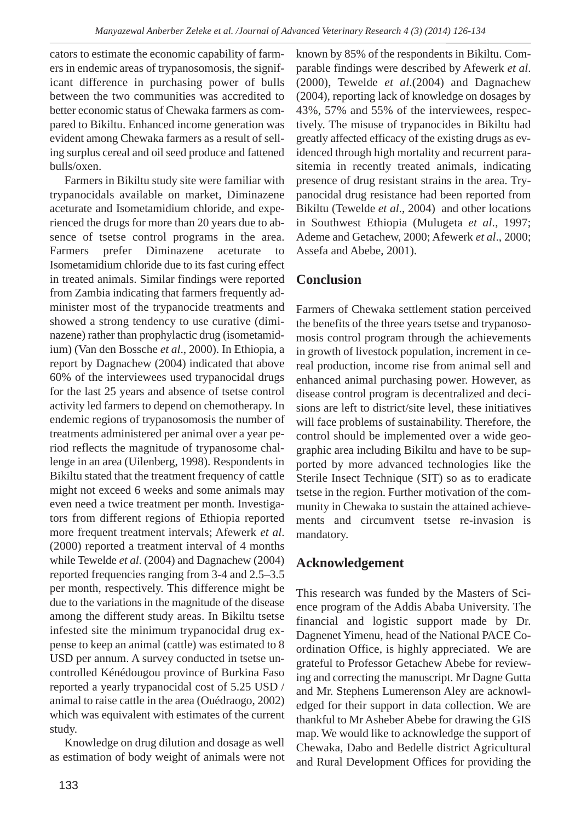cators to estimate the economic capability of farmers in endemic areas of trypanosomosis, the significant difference in purchasing power of bulls between the two communities was accredited to better economic status of Chewaka farmers as compared to Bikiltu. Enhanced income generation was evident among Chewaka farmers as a result of selling surplus cereal and oil seed produce and fattened bulls/oxen.

Farmers in Bikiltu study site were familiar with trypanocidals available on market, Diminazene aceturate and Isometamidium chloride, and experienced the drugs for more than 20 years due to absence of tsetse control programs in the area. Farmers prefer Diminazene aceturate to Isometamidium chloride due to its fast curing effect in treated animals. Similar findings were reported from Zambia indicating that farmers frequently administer most of the trypanocide treatments and showed a strong tendency to use curative (diminazene) rather than prophylactic drug (isometamidium) (Van den Bossche *et al*., 2000). In Ethiopia, a report by Dagnachew (2004) indicated that above 60% of the interviewees used trypanocidal drugs for the last 25 years and absence of tsetse control activity led farmers to depend on chemotherapy. In endemic regions of trypanosomosis the number of treatments administered per animal over a year period reflects the magnitude of trypanosome challenge in an area (Uilenberg, 1998). Respondents in Bikiltu stated that the treatment frequency of cattle might not exceed 6 weeks and some animals may even need a twice treatment per month. Investigators from different regions of Ethiopia reported more frequent treatment intervals; Afewerk *et al*. (2000) reported a treatment interval of 4 months while Tewelde *et al*. (2004) and Dagnachew (2004) reported frequencies ranging from 3-4 and 2.5–3.5 per month, respectively. This difference might be due to the variations in the magnitude of the disease among the different study areas. In Bikiltu tsetse infested site the minimum trypanocidal drug expense to keep an animal (cattle) was estimated to 8 USD per annum. A survey conducted in tsetse uncontrolled Kénédougou province of Burkina Faso reported a yearly trypanocidal cost of 5.25 USD / animal to raise cattle in the area (Ouédraogo, 2002) which was equivalent with estimates of the current study.

Knowledge on drug dilution and dosage as well as estimation of body weight of animals were not known by 85% of the respondents in Bikiltu. Comparable findings were described by Afewerk *et al*. (2000), Tewelde *et al*.(2004) and Dagnachew (2004), reporting lack of knowledge on dosages by 43%, 57% and 55% of the interviewees, respectively. The misuse of trypanocides in Bikiltu had greatly affected efficacy of the existing drugs as evidenced through high mortality and recurrent parasitemia in recently treated animals, indicating presence of drug resistant strains in the area. Trypanocidal drug resistance had been reported from Bikiltu (Tewelde *et al*., 2004) and other locations in Southwest Ethiopia (Mulugeta *et al*., 1997; Ademe and Getachew, 2000; Afewerk *et al*., 2000; Assefa and Abebe, 2001).

# **Conclusion**

Farmers of Chewaka settlement station perceived the benefits of the three years tsetse and trypanosomosis control program through the achievements in growth of livestock population, increment in cereal production, income rise from animal sell and enhanced animal purchasing power. However, as disease control program is decentralized and decisions are left to district/site level, these initiatives will face problems of sustainability. Therefore, the control should be implemented over a wide geographic area including Bikiltu and have to be supported by more advanced technologies like the Sterile Insect Technique (SIT) so as to eradicate tsetse in the region. Further motivation of the community in Chewaka to sustain the attained achievements and circumvent tsetse re-invasion is mandatory.

# **Acknowledgement**

This research was funded by the Masters of Science program of the Addis Ababa University. The financial and logistic support made by Dr. Dagnenet Yimenu, head of the National PACE Coordination Office, is highly appreciated. We are grateful to Professor Getachew Abebe for reviewing and correcting the manuscript. Mr Dagne Gutta and Mr. Stephens Lumerenson Aley are acknowledged for their support in data collection. We are thankful to Mr Asheber Abebe for drawing the GIS map. We would like to acknowledge the support of Chewaka, Dabo and Bedelle district Agricultural and Rural Development Offices for providing the